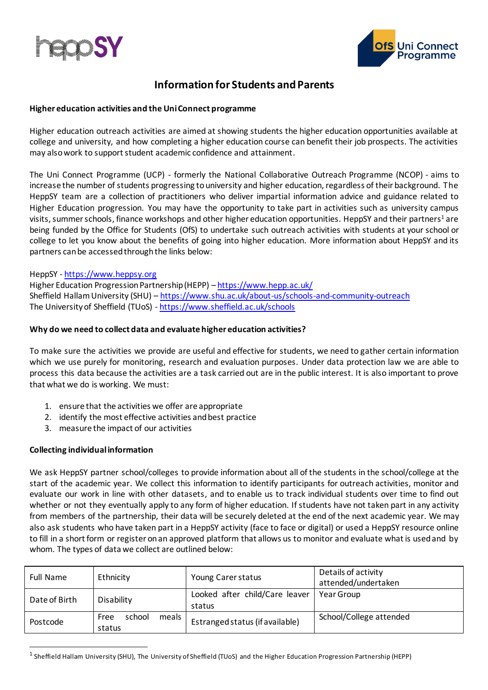



# **Information for Students and Parents**

#### **Higher education activities and the Uni Connect programme**

Higher education outreach activities are aimed at showing students the higher education opportunities available at college and university, and how completing a higher education course can benefit their job prospects. The activities may also work to support student academic confidence and attainment.

The Uni Connect Programme (UCP) - formerly the National Collaborative Outreach Programme (NCOP) - aims to increase the number of students progressing to university and higher education, regardless of their background. The HeppSY team are a collection of practitioners who deliver impartial information advice and guidance related to Higher Education progression. You may have the opportunity to take part in activities such as university campus visits, summer schools, finance workshops and other higher education opportunities. HeppSY and their partners<sup>1</sup> are being funded by the Office for Students (OfS) to undertake such outreach activities with students at your school or college to let you know about the benefits of going into higher education. More information about HeppSY and its partners can be accessed through the links below:

# HeppSY - [https://www.heppsy.org](https://www.heppsy.org/)

Higher Education Progression Partnership (HEPP) – <https://www.hepp.ac.uk/> Sheffield Hallam University (SHU) – <https://www.shu.ac.uk/about-us/schools-and-community-outreach> The University of Sheffield (TUoS) - <https://www.sheffield.ac.uk/schools>

# **Why do we need to collect data and evaluate higher education activities?**

To make sure the activities we provide are useful and effective for students, we need to gather certain information which we use purely for monitoring, research and evaluation purposes. Under data protection law we are able to process this data because the activities are a task carried out are in the public interest. It is also important to prove that what we do is working. We must:

- 1. ensure that the activities we offer are appropriate
- 2. identify the most effective activities and best practice
- 3. measure the impact of our activities

# **Collecting individual information**

We ask HeppSY partner school/colleges to provide information about all of the students in the school/college at the start of the academic year. We collect this information to identify participants for outreach activities, monitor and evaluate our work in line with other datasets, and to enable us to track individual students over time to find out whether or not they eventually apply to any form of higher education. If students have not taken part in any activity from members of the partnership, their data will be securely deleted at the end of the next academic year. We may also ask students who have taken part in a HeppSY activity (face to face or digital) or used a HeppSY resource online to fill in a short form or register on an approved platform that allows us to monitor and evaluate what is used and by whom. The types of data we collect are outlined below:

| <b>Full Name</b> | Ethnicity                           | Young Carer status                       | Details of activity<br>attended/undertaken |
|------------------|-------------------------------------|------------------------------------------|--------------------------------------------|
| Date of Birth    | Disability                          | Looked after child/Care leaver<br>status | Year Group                                 |
| Postcode         | school<br>meals l<br>Free<br>status | Estranged status (if available)          | School/College attended                    |

<sup>&</sup>lt;sup>1</sup> Sheffield Hallam University (SHU), The University of Sheffield (TUoS) and the Higher Education Progression Partnership (HEPP)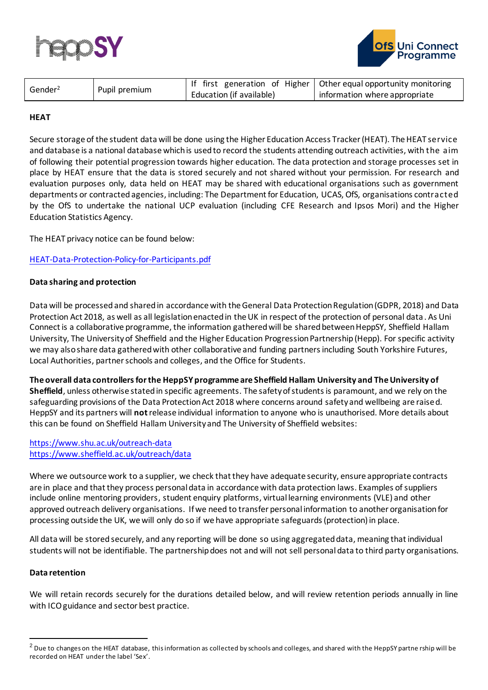



| Gender <sup>2</sup> | Pupil premium |                          | If first generation of Higher   Other equal opportunity monitoring |
|---------------------|---------------|--------------------------|--------------------------------------------------------------------|
|                     |               | Education (if available) | information where appropriate                                      |

# **HEAT**

Secure storage of the student data will be done using the Higher Education Access Tracker (HEAT). The HEAT service and database is a national database which is used to record the students attending outreach activities, with the aim of following their potential progression towards higher education. The data protection and storage processes set in place by HEAT ensure that the data is stored securely and not shared without your permission. For research and evaluation purposes only, data held on HEAT may be shared with educational organisations such as government departments or contracted agencies, including: The Department for Education, UCAS, OfS, organisations contracted by the OfS to undertake the national UCP evaluation (including CFE Research and Ipsos Mori) and the Higher Education Statistics Agency.

The HEAT privacy notice can be found below:

# [HEAT-Data-Protection-Policy-for-Participants.pdf](http://heat.ac.uk/wp-content/uploads/2018/11/HEAT-Data-Protection-Policy-for-Participants.pdf#:~:text=Privacy%20Notice%20Though%20pertaining%20specifically%20to%20the%20collection,the%20overarching%20University%20of%20Kent%20Data%20Protection%20Policy.)

# **Data sharing and protection**

Data will be processed and sharedin accordance with the General Data Protection Regulation (GDPR, 2018) and Data Protection Act 2018, as well as all legislation enacted in the UK in respect of the protection of personal data. As Uni Connect is a collaborative programme, the information gatheredwill be shared between HeppSY, Sheffield Hallam University, The University of Sheffield and the Higher Education Progression Partnership (Hepp). For specific activity we may also share data gathered with other collaborative and funding partners including South Yorkshire Futures, Local Authorities, partner schools and colleges, and the Office for Students.

**The overall data controllers for the HeppSY programme are Sheffield Hallam University and The University of Sheffield**, unless otherwise stated in specific agreements. The safety of studentsis paramount, and we rely on the safeguarding provisions of the Data Protection Act 2018 where concerns around safety and wellbeing are raised. HeppSY and its partners will **not**release individual information to anyone who is unauthorised. More details about this can be found on Sheffield Hallam University and The University of Sheffield websites:

#### <https://www.shu.ac.uk/outreach-data> <https://www.sheffield.ac.uk/outreach/data>

Where we outsource work to a supplier, we check that they have adequate security, ensure appropriate contracts are in place and that they process personal data in accordance with data protection laws. Examples of suppliers include online mentoring providers, student enquiry platforms, virtual learning environments (VLE) and other approved outreach delivery organisations. If we need to transfer personal information to another organisation for processing outside the UK, we will only do so if we have appropriate safeguards (protection) in place.

All data will be stored securely, and any reporting will be done so using aggregated data, meaning that individual students will not be identifiable. The partnership does not and will not sell personal data to third party organisations.

#### **Data retention**

We will retain records securely for the durations detailed below, and will review retention periods annually in line with ICO guidance and sector best practice.

 $2$  Due to changes on the HEAT database, this information as collected by schools and colleges, and shared with the HeppSY partne rship will be recorded on HEAT under the label 'Sex'.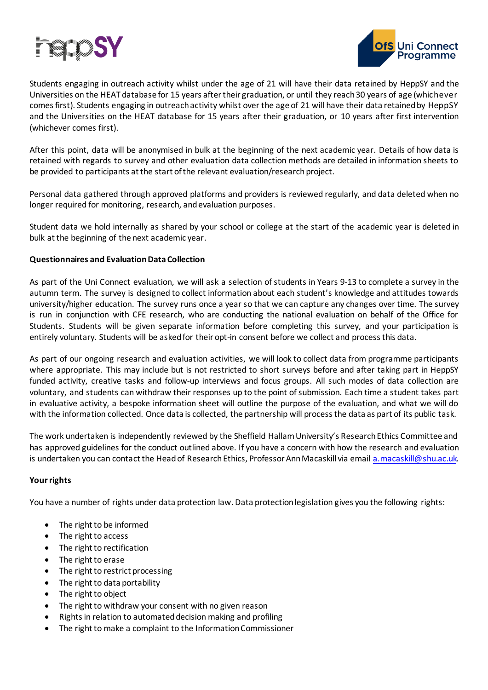



Students engaging in outreach activity whilst under the age of 21 will have their data retained by HeppSY and the Universities on the HEAT database for 15 years after their graduation, or until they reach 30 years of age (whichever comes first). Students engaging in outreach activity whilst over the age of 21 will have their data retained by HeppSY and the Universities on the HEAT database for 15 years after their graduation, or 10 years after first intervention (whichever comes first).

After this point, data will be anonymised in bulk at the beginning of the next academic year. Details of how data is retained with regards to survey and other evaluation data collection methods are detailed in information sheets to be provided to participants at the start of the relevant evaluation/research project.

Personal data gathered through approved platforms and providers is reviewed regularly, and data deleted when no longer required for monitoring, research, and evaluation purposes.

Student data we hold internally as shared by your school or college at the start of the academic year is deleted in bulk at the beginning of the next academic year.

# **Questionnaires and Evaluation Data Collection**

As part of the Uni Connect evaluation, we will ask a selection of students in Years 9-13 to complete a survey in the autumn term. The survey is designed to collect information about each student's knowledge and attitudes towards university/higher education. The survey runs once a year so that we can capture any changes over time. The survey is run in conjunction with CFE research, who are conducting the national evaluation on behalf of the Office for Students. Students will be given separate information before completing this survey, and your participation is entirely voluntary. Students will be asked for their opt-in consent before we collect and processthis data.

As part of our ongoing research and evaluation activities, we will look to collect data from programme participants where appropriate. This may include but is not restricted to short surveys before and after taking part in HeppSY funded activity, creative tasks and follow-up interviews and focus groups. All such modes of data collection are voluntary, and students can withdraw their responses up to the point of submission. Each time a student takes part in evaluative activity, a bespoke information sheet will outline the purpose of the evaluation, and what we will do with the information collected. Once data is collected, the partnership will process the data as part of its public task.

The work undertaken is independently reviewed by the Sheffield Hallam University's Research Ethics Committee and has approved guidelines for the conduct outlined above. If you have a concern with how the research and evaluation is undertaken you can contact the Head of Research Ethics, Professor Ann Macaskill via emai[l a.macaskill@shu.ac.uk.](mailto:a.macaskill@shu.ac.uk)

#### **Your rights**

You have a number of rights under data protection law. Data protection legislation gives you the following rights:

- The right to be informed
- The right to access
- The right to rectification
- The right to erase
- The right to restrict processing
- The right to data portability
- The right to object
- The right to withdraw your consent with no given reason
- Rights in relation to automated decision making and profiling
- The right to make a complaint to the Information Commissioner